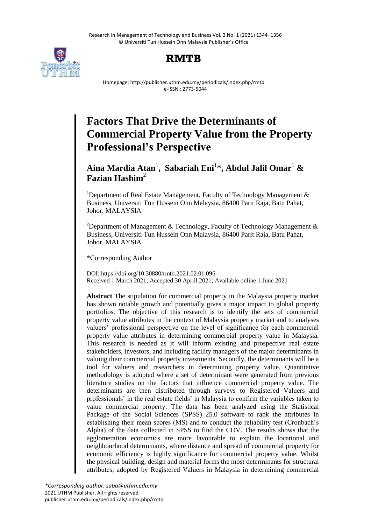Research in Management of Technology and Business Vol. 2 No. 1 (2021) 1344–1356 © Universiti Tun Hussein Onn Malaysia Publisher's Office



# **RMTB**

Homepage: http://publisher.uthm.edu.my/periodicals/index.php/rmtb e-ISSN : 2773-5044

# **Factors That Drive the Determinants of Commercial Property Value from the Property Professional's Perspective**

# **Aina Mardia Atan**<sup>1</sup> **, Sabariah Eni**<sup>1</sup> \***, Abdul Jalil Omar**<sup>1</sup> **& Fazian Hashim**<sup>2</sup>

<sup>1</sup>Department of Real Estate Management, Faculty of Technology Management  $\&$ Business, Universiti Tun Hussein Onn Malaysia, 86400 Parit Raja, Batu Pahat, Johor, MALAYSIA

<sup>2</sup>Department of Management & Technology, Faculty of Technology Management & Business, Universiti Tun Hussein Onn Malaysia, 86400 Parit Raja, Batu Pahat, Johor, MALAYSIA

\*Corresponding Author

DOI: https://doi.org/10.30880/rmtb.2021.02.01.096 Received 1 March 2021; Accepted 30 Aprill 2021; Available online 1 June 2021

**Abstract** The stipulation for commercial property in the Malaysia property market has shown notable growth and potentially gives a major impact to global property portfolios. The objective of this research is to identify the sets of commercial property value attributes in the context of Malaysia property market and to analyses valuers' professional perspective on the level of significance for each commercial property value attributes in determining commercial property value in Malaysia. This research is needed as it will inform existing and prospective real estate stakeholders, investors, and including facility managers of the major determinants in valuing their commercial property investments. Secondly, the determinants will be a tool for valuers and researchers in determining property value. Quantitative methodology is adopted where a set of determinant were generated from previous literature studies on the factors that influence commercial property value. The determinants are then distributed through surveys to Registered Valuers and professionals' in the real estate fields' in Malaysia to confirm the variables taken to value commercial property. The data has been analyzed using the Statistical Package of the Social Sciences (SPSS) 25.0 software to rank the attributes in establishing their mean scores (MS) and to conduct the reliability test (Cronbach's Alpha) of the data collected in SPSS to find the COV. The results shows that the agglomeration economics are more favourable to explain the locational and neighbourhood determinants, where distance and spread of commercial property for economic efficiency is highly significance for commercial property value. Whilst the physical building, design and material forms the most determinants for structural attributes, adopted by Registered Valuers in Malaysia in determining commercial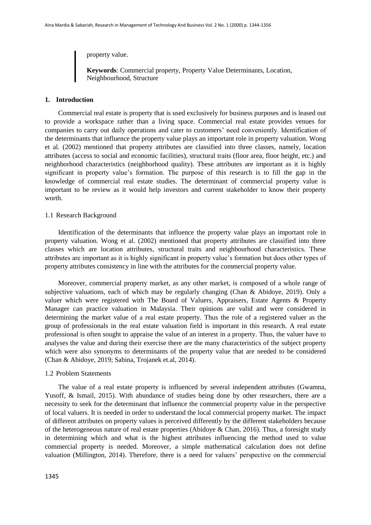property value.

**Keywords**: Commercial property, Property Value Determinants, Location, Neighbourhood, Structure

#### **1. Introduction**

Commercial real estate is property that is used exclusively for business purposes and is leased out to provide a workspace rather than a living space. Commercial real estate provides venues for companies to carry out daily operations and cater to customers' need conveniently. Identification of the determinants that influence the property value plays an important role in property valuation. Wong et al. (2002) mentioned that property attributes are classified into three classes, namely, location attributes (access to social and economic facilities), structural traits (floor area, floor height, etc.) and neighborhood characteristics (neighborhood quality). These attributes are important as it is highly significant in property value's formation. The purpose of this research is to fill the gap in the knowledge of commercial real estate studies. The determinant of commercial property value is important to be review as it would help investors and current stakeholder to know their property worth.

#### 1.1 Research Background

Identification of the determinants that influence the property value plays an important role in property valuation. Wong et al. (2002) mentioned that property attributes are classified into three classes which are location attributes, structural traits and neighbourhood characteristics. These attributes are important as it is highly significant in property value's formation but does other types of property attributes consistency in line with the attributes for the commercial property value.

Moreover, commercial property market, as any other market, is composed of a whole range of subjective valuations, each of which may be regularly changing (Chan & Abidoye, 2019). Only a valuer which were registered with The Board of Valuers, Appraisers, Estate Agents & Property Manager can practice valuation in Malaysia. Their opinions are valid and were considered in determining the market value of a real estate property. Thus the role of a registered valuer as the group of professionals in the real estate valuation field is important in this research. A real estate professional is often sought to appraise the value of an interest in a property. Thus, the valuer have to analyses the value and during their exercise there are the many characteristics of the subject property which were also synonyms to determinants of the property value that are needed to be considered (Chan & Abidoye, 2019; Sabina, Trojanek et.al, 2014).

#### 1.2 Problem Statements

The value of a real estate property is influenced by several independent attributes (Gwamna, Yusoff, & Ismail, 2015). With abundance of studies being done by other researchers, there are a necessity to seek for the determinant that influence the commercial property value in the perspective of local valuers. It is needed in order to understand the local commercial property market. The impact of different attributes on property values is perceived differently by the different stakeholders because of the heterogeneous nature of real estate properties (Abidoye & Chan, 2016). Thus, a foresight study in determining which and what is the highest attributes influencing the method used to value commercial property is needed. Moreover, a simple mathematical calculation does not define valuation (Millington, 2014). Therefore, there is a need for valuers' perspective on the commercial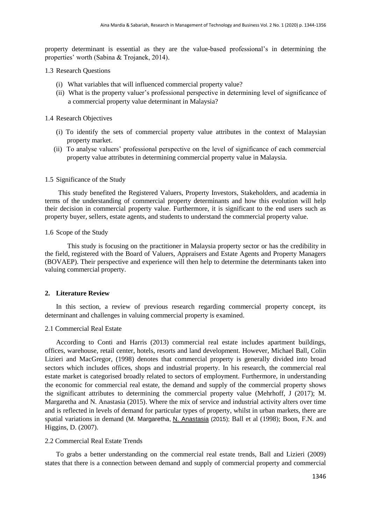property determinant is essential as they are the value-based professional's in determining the properties' worth (Sabina & Trojanek, 2014).

#### 1.3 Research Questions

- (i) What variables that will influenced commercial property value?
- (ii) What is the property valuer's professional perspective in determining level of significance of a commercial property value determinant in Malaysia?

#### 1.4 Research Objectives

- (i) To identify the sets of commercial property value attributes in the context of Malaysian property market.
- (ii) To analyse valuers' professional perspective on the level of significance of each commercial property value attributes in determining commercial property value in Malaysia.

### 1.5 Significance of the Study

This study benefited the Registered Valuers, Property Investors, Stakeholders, and academia in terms of the understanding of commercial property determinants and how this evolution will help their decision in commercial property value. Furthermore, it is significant to the end users such as property buyer, sellers, estate agents, and students to understand the commercial property value.

#### 1.6 Scope of the Study

This study is focusing on the practitioner in Malaysia property sector or has the credibility in the field, registered with the Board of Valuers, Appraisers and Estate Agents and Property Managers (BOVAEP). Their perspective and experience will then help to determine the determinants taken into valuing commercial property.

# **2. Literature Review**

In this section, a review of previous research regarding commercial property concept, its determinant and challenges in valuing commercial property is examined.

#### 2.1 Commercial Real Estate

According to Conti and Harris (2013) commercial real estate includes apartment buildings, offices, warehouse, retail center, hotels, resorts and land development. However, Michael Ball, Colin Lizieri and MacGregor, (1998) denotes that commercial property is generally divided into broad sectors which includes offices, shops and industrial property. In his research, the commercial real estate market is categorised broadly related to sectors of employment. Furthermore, in understanding the economic for commercial real estate, the demand and supply of the commercial property shows the significant attributes to determining the commercial property value (Mehrhoff, J (2017); M. Margaretha and N. Anastasia (2015). Where the mix of service and industrial activity alters over time and is reflected in levels of demand for particular types of property, whilst in urban markets, there are spatial variations in demand (M. Margaretha, N. [Anastasia](https://scholar.google.com.my/citations?user=Kf2J1igAAAAJ&hl=en&oi=sra) (2015); Ball et al (1998); Boon, F.N. and Higgins, D. (2007).

#### 2.2 Commercial Real Estate Trends

To grabs a better understanding on the commercial real estate trends, Ball and Lizieri (2009) states that there is a connection between demand and supply of commercial property and commercial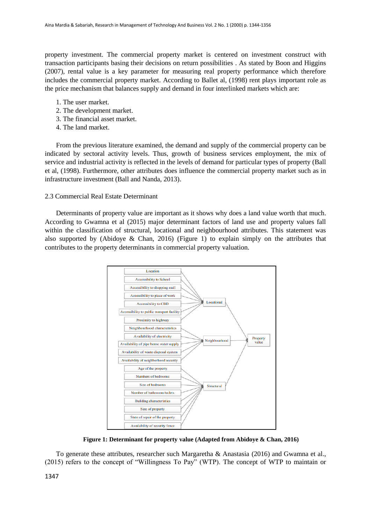property investment. The commercial property market is centered on investment construct with transaction participants basing their decisions on return possibilities . As stated by Boon and Higgins (2007), rental value is a key parameter for measuring real property performance which therefore includes the commercial property market. According to Ballet al, (1998) rent plays important role as the price mechanism that balances supply and demand in four interlinked markets which are:

- 1. The user market.
- 2. The development market.
- 3. The financial asset market.
- 4. The land market.

From the previous literature examined, the demand and supply of the commercial property can be indicated by sectoral activity levels. Thus, growth of business services employment, the mix of service and industrial activity is reflected in the levels of demand for particular types of property (Ball et al, (1998). Furthermore, other attributes does influence the commercial property market such as in infrastructure investment (Ball and Nanda, 2013).

# 2.3 Commercial Real Estate Determinant

Determinants of property value are important as it shows why does a land value worth that much. According to Gwamna et al (2015) major determinant factors of land use and property values fall within the classification of structural, locational and neighbourhood attributes. This statement was also supported by (Abidoye & Chan, 2016) (Figure 1) to explain simply on the attributes that contributes to the property determinants in commercial property valuation.



**Figure 1: Determinant for property value (Adapted from Abidoye & Chan, 2016)**

To generate these attributes, researcher such Margaretha & Anastasia (2016) and Gwamna et al., (2015) refers to the concept of "Willingness To Pay" (WTP). The concept of WTP to maintain or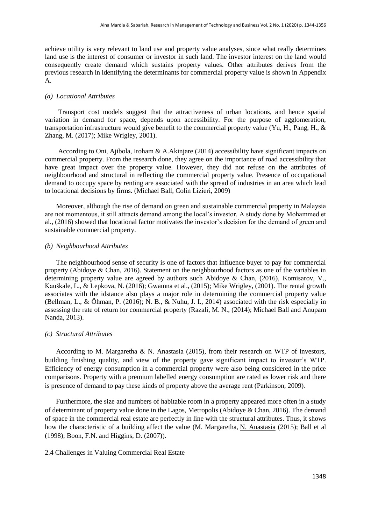achieve utility is very relevant to land use and property value analyses, since what really determines land use is the interest of consumer or investor in such land. The investor interest on the land would consequently create demand which sustains property values. Other attributes derives from the previous research in identifying the determinants for commercial property value is shown in Appendix A.

#### *(a) Locational Attributes*

Transport cost models suggest that the attractiveness of urban locations, and hence spatial variation in demand for space, depends upon accessibility. For the purpose of agglomeration, transportation infrastructure would give benefit to the commercial property value (Yu, H., Pang, H., & Zhang, M. (2017); Mike Wrigley, 2001).

According to Oni, Ajibola, Iroham & A.Akinjare (2014) accessibility have significant impacts on commercial property. From the research done, they agree on the importance of road accessibility that have great impact over the property value. However, they did not refuse on the attributes of neighbourhood and structural in reflecting the commercial property value. Presence of occupational demand to occupy space by renting are associated with the spread of industries in an area which lead to locational decisions by firms. (Michael Ball, Colin Lizieri, 2009)

Moreover, although the rise of demand on green and sustainable commercial property in Malaysia are not momentous, it still attracts demand among the local's investor. A study done by Mohammed et al., (2016) showed that locational factor motivates the investor's decision for the demand of green and sustainable commercial property.

#### *(b) Neighbourhood Attributes*

The neighbourhood sense of security is one of factors that influence buyer to pay for commercial property (Abidoye & Chan, 2016). Statement on the neighbourhood factors as one of the variables in determining property value are agreed by authors such Abidoye & Chan, (2016), Komisarov, V., Kauškale, L., & Lepkova, N. (2016); Gwamna et al., (2015); Mike Wrigley, (2001). The rental growth associates with the idstance also plays a major role in determining the commercial property value (Bellman, L., & Öhman, P. (2016); N. B., & Nuhu, J. I., 2014) associated with the risk especially in assessing the rate of return for commercial property (Razali, M. N., (2014); Michael Ball and Anupam Nanda, 2013).

#### *(c) Structural Attributes*

According to M. Margaretha & N. Anastasia (2015), from their research on WTP of investors, building finishing quality, and view of the property gave significant impact to investor's WTP. Efficiency of energy consumption in a commercial property were also being considered in the price comparisons. Property with a premium labelled energy consumption are rated as lower risk and there is presence of demand to pay these kinds of property above the average rent (Parkinson, 2009).

Furthermore, the size and numbers of habitable room in a property appeared more often in a study of determinant of property value done in the Lagos, Metropolis (Abidoye & Chan, 2016). The demand of space in the commercial real estate are perfectly in line with the structural attributes. Thus, it shows how the characteristic of a building affect the value (M. Margaretha, [N. Anastasia](https://scholar.google.com.my/citations?user=Kf2J1igAAAAJ&hl=en&oi=sra) (2015); Ball et al (1998); Boon, F.N. and Higgins, D. (2007)).

#### 2.4 Challenges in Valuing Commercial Real Estate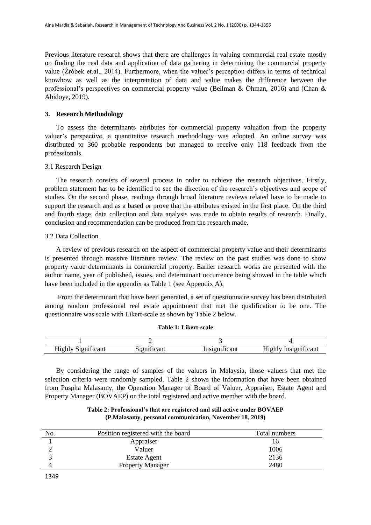Previous literature research shows that there are challenges in valuing commercial real estate mostly on finding the real data and application of data gathering in determining the commercial property value (Źróbek et.al., 2014). Furthermore, when the valuer's perception differs in terms of technical knowhow as well as the interpretation of data and value makes the difference between the professional's perspectives on commercial property value (Bellman & Öhman, 2016) and (Chan & Abidoye, 2019).

#### **3. Research Methodology**

To assess the determinants attributes for commercial property valuation from the property valuer's perspective, a quantitative research methodology was adopted. An online survey was distributed to 360 probable respondents but managed to receive only 118 feedback from the professionals.

#### 3.1 Research Design

The research consists of several process in order to achieve the research objectives. Firstly, problem statement has to be identified to see the direction of the research's objectives and scope of studies. On the second phase, readings through broad literature reviews related have to be made to support the research and as a based or prove that the attributes existed in the first place. On the third and fourth stage, data collection and data analysis was made to obtain results of research. Finally, conclusion and recommendation can be produced from the research made.

#### 3.2 Data Collection

A review of previous research on the aspect of commercial property value and their determinants is presented through massive literature review. The review on the past studies was done to show property value determinants in commercial property. Earlier research works are presented with the author name, year of published, issues, and determinant occurrence being showed in the table which have been included in the appendix as Table 1 (see Appendix A).

From the determinant that have been generated, a set of questionnaire survey has been distributed among random professional real estate appointment that met the qualification to be one. The questionnaire was scale with Likert-scale as shown by Table 2 below.

| $\sim$<br>$-110F$<br>◠<br>צונו.<br>111≚<br>~ | $\sim$<br>1 G 12 | $\sim$<br>Insio | - -<br>110h<br>≏an∟<br>c |
|----------------------------------------------|------------------|-----------------|--------------------------|

**Table 1: Likert-scale**

By considering the range of samples of the valuers in Malaysia, those valuers that met the selection criteria were randomly sampled. Table 2 shows the information that have been obtained from Puspha Malasamy, the Operation Manager of Board of Valuer, Appraiser, Estate Agent and Property Manager (BOVAEP) on the total registered and active member with the board.

# **Table 2: Professional's that are registered and still active under BOVAEP (P.Malasamy, personal communication, November 18, 2019)**

| No. | Position registered with the board | Total numbers |
|-----|------------------------------------|---------------|
|     | Appraiser                          | I b           |
|     | Valuer                             | 1006          |
|     | Estate Agent                       | 2136          |
|     | <b>Property Manager</b>            | 2480          |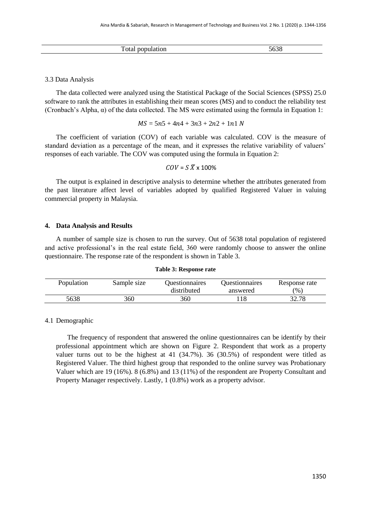| Total<br>population | .62c<br>,000 |
|---------------------|--------------|
|                     |              |

#### 3.3 Data Analysis

The data collected were analyzed using the Statistical Package of the Social Sciences (SPSS) 25.0 software to rank the attributes in establishing their mean scores (MS) and to conduct the reliability test (Cronbach's Alpha, α) of the data collected. The MS were estimated using the formula in Equation 1:

$$
MS = 5n5 + 4n4 + 3n3 + 2n2 + 1n1 N
$$

The coefficient of variation (COV) of each variable was calculated. COV is the measure of standard deviation as a percentage of the mean, and it expresses the relative variability of valuers' responses of each variable. The COV was computed using the formula in Equation 2:

$$
COV = S\ \overline{X} \times 100\%
$$

The output is explained in descriptive analysis to determine whether the attributes generated from the past literature affect level of variables adopted by qualified Registered Valuer in valuing commercial property in Malaysia.

#### **4. Data Analysis and Results**

A number of sample size is chosen to run the survey. Out of 5638 total population of registered and active professional's in the real estate field, 360 were randomly choose to answer the online questionnaire. The response rate of the respondent is shown in Table 3.

#### **Table 3: Response rate**

| Population | Sample size | <b>Duestionnaires</b><br>distributed | <b>Ouestionnaires</b><br>answered | Response rate<br>$\frac{9}{6}$ |
|------------|-------------|--------------------------------------|-----------------------------------|--------------------------------|
| 5638       | 360         | 360                                  |                                   | 20. 70<br>.) 4. I O            |

#### 4.1 Demographic

The frequency of respondent that answered the online questionnaires can be identify by their professional appointment which are shown on Figure 2. Respondent that work as a property valuer turns out to be the highest at 41 (34.7%). 36 (30.5%) of respondent were titled as Registered Valuer. The third highest group that responded to the online survey was Probationary Valuer which are 19 (16%). 8 (6.8%) and 13 (11%) of the respondent are Property Consultant and Property Manager respectively. Lastly, 1 (0.8%) work as a property advisor.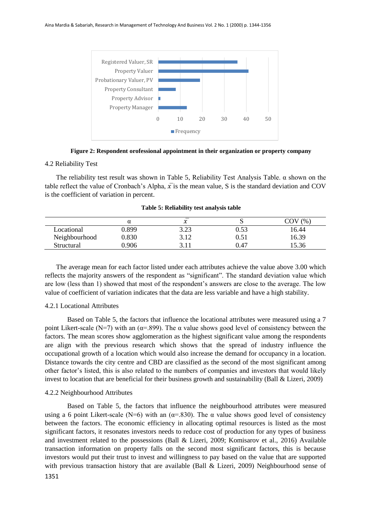

**Figure 2: Respondent orofessional appointment in their organization or property company**

#### 4.2 Reliability Test

The reliability test result was shown in Table 5, Reliability Test Analysis Table. α shown on the table reflect the value of Cronbach's Alpha,  $\overline{x}$  is the mean value, S is the standard deviation and COV is the coefficient of variation in percent.

|               | α     | $\overline{\phantom{0}}$<br>∼ | ັ    | (96)  |
|---------------|-------|-------------------------------|------|-------|
| Locational    | ).899 | 3.23                          | 0.53 | 16.44 |
| Neighbourhood | 0.830 | 3.12                          | 0.51 | 16.39 |
| Structural    | 0.906 | 21'                           | 0.47 | 15.36 |

**Table 5: Reliability test analysis table** 

The average mean for each factor listed under each attributes achieve the value above 3.00 which reflects the majority answers of the respondent as "significant". The standard deviation value which are low (less than 1) showed that most of the respondent's answers are close to the average. The low value of coefficient of variation indicates that the data are less variable and have a high stability.

#### 4.2.1 Locational Attributes

Based on Table 5, the factors that influence the locational attributes were measured using a 7 point Likert-scale (N=7) with an ( $\alpha$ =.899). The α value shows good level of consistency between the factors. The mean scores show agglomeration as the highest significant value among the respondents are align with the previous research which shows that the spread of industry influence the occupational growth of a location which would also increase the demand for occupancy in a location. Distance towards the city centre and CBD are classified as the second of the most significant among other factor's listed, this is also related to the numbers of companies and investors that would likely invest to location that are beneficial for their business growth and sustainability (Ball & Lizeri, 2009)

#### 4.2.2 Neighbourhood Attributes

Based on Table 5, the factors that influence the neighbourhood attributes were measured using a 6 point Likert-scale (N=6) with an ( $\alpha$ =.830). The  $\alpha$  value shows good level of consistency between the factors. The economic efficiency in allocating optimal resources is listed as the most significant factors, it resonates investors needs to reduce cost of production for any types of business and investment related to the possessions (Ball & Lizeri, 2009; Komisarov et al., 2016) Available transaction information on property falls on the second most significant factors, this is because investors would put their trust to invest and willingness to pay based on the value that are supported with previous transaction history that are available (Ball & Lizeri, 2009) Neighbourhood sense of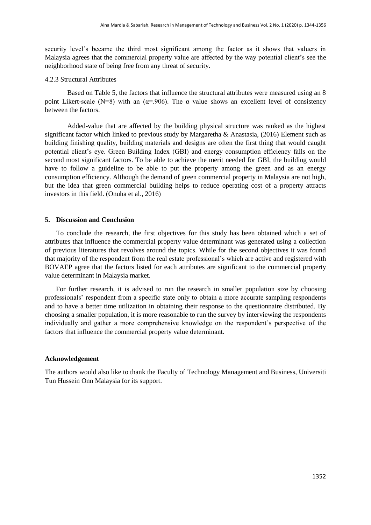security level's became the third most significant among the factor as it shows that valuers in Malaysia agrees that the commercial property value are affected by the way potential client's see the neighborhood state of being free from any threat of security.

# 4.2.3 Structural Attributes

Based on Table 5, the factors that influence the structural attributes were measured using an 8 point Likert-scale (N=8) with an ( $\alpha$ =.906). The  $\alpha$  value shows an excellent level of consistency between the factors.

Added-value that are affected by the building physical structure was ranked as the highest significant factor which linked to previous study by Margaretha & Anastasia, (2016) Element such as building finishing quality, building materials and designs are often the first thing that would caught potential client's eye. Green Building Index (GBI) and energy consumption efficiency falls on the second most significant factors. To be able to achieve the merit needed for GBI, the building would have to follow a guideline to be able to put the property among the green and as an energy consumption efficiency. Although the demand of green commercial property in Malaysia are not high, but the idea that green commercial building helps to reduce operating cost of a property attracts investors in this field. (Onuha et al., 2016)

#### **5. Discussion and Conclusion**

To conclude the research, the first objectives for this study has been obtained which a set of attributes that influence the commercial property value determinant was generated using a collection of previous literatures that revolves around the topics. While for the second objectives it was found that majority of the respondent from the real estate professional's which are active and registered with BOVAEP agree that the factors listed for each attributes are significant to the commercial property value determinant in Malaysia market.

For further research, it is advised to run the research in smaller population size by choosing professionals' respondent from a specific state only to obtain a more accurate sampling respondents and to have a better time utilization in obtaining their response to the questionnaire distributed. By choosing a smaller population, it is more reasonable to run the survey by interviewing the respondents individually and gather a more comprehensive knowledge on the respondent's perspective of the factors that influence the commercial property value determinant.

#### **Acknowledgement**

The authors would also like to thank the Faculty of Technology Management and Business, Universiti Tun Hussein Onn Malaysia for its support.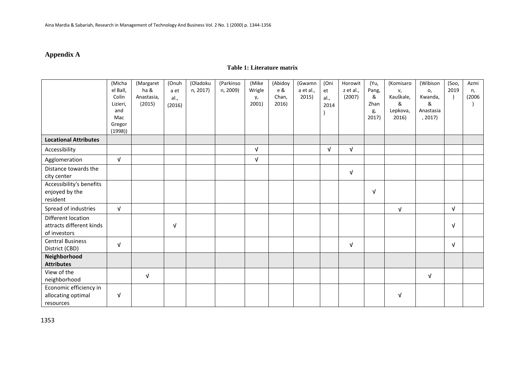# **Appendix A**

# **Table 1: Literature matrix**

|                                                                | (Micha<br>el Ball,<br>Colin<br>Lizieri,<br>and<br>Mac<br>Gregor | (Margaret<br>ha &<br>Anastasia,<br>(2015) | (Onuh<br>a et<br>al.,<br>(2016) | (Oladoku<br>n, 2017) | (Parkinso<br>n, 2009) | (Mike<br>Wrigle<br>у,<br>2001) | (Abidoy<br>e &<br>Chan,<br>2016) | (Gwamn<br>a et al.,<br>2015) | (Oni<br>et<br>al.,<br>2014 | Horowit<br>z et al.,<br>(2007) | (Yu,<br>Pang,<br>&<br>Zhan<br>g,<br>2017) | (Komisaro<br>v,<br>Kauškale,<br>&<br>Lepkova,<br>2016) | (Wibison<br>o,<br>Kwanda,<br>&<br>Anastasia<br>, 2017) | (Soo,<br>2019 | Azmi<br>n,<br>(2006) |
|----------------------------------------------------------------|-----------------------------------------------------------------|-------------------------------------------|---------------------------------|----------------------|-----------------------|--------------------------------|----------------------------------|------------------------------|----------------------------|--------------------------------|-------------------------------------------|--------------------------------------------------------|--------------------------------------------------------|---------------|----------------------|
| <b>Locational Attributes</b>                                   | (1998)                                                          |                                           |                                 |                      |                       |                                |                                  |                              |                            |                                |                                           |                                                        |                                                        |               |                      |
| Accessibility                                                  |                                                                 |                                           |                                 |                      |                       | $\sqrt{ }$                     |                                  |                              | $\sqrt{ }$                 | $\sqrt{ }$                     |                                           |                                                        |                                                        |               |                      |
| Agglomeration                                                  | $\sqrt{ }$                                                      |                                           |                                 |                      |                       | $\sqrt{ }$                     |                                  |                              |                            |                                |                                           |                                                        |                                                        |               |                      |
| Distance towards the<br>city center                            |                                                                 |                                           |                                 |                      |                       |                                |                                  |                              |                            | $\sqrt{ }$                     |                                           |                                                        |                                                        |               |                      |
| Accessibility's benefits<br>enjoyed by the<br>resident         |                                                                 |                                           |                                 |                      |                       |                                |                                  |                              |                            |                                | $\sqrt{ }$                                |                                                        |                                                        |               |                      |
| Spread of industries                                           | $\sqrt{ }$                                                      |                                           |                                 |                      |                       |                                |                                  |                              |                            |                                |                                           | $\sqrt{ }$                                             |                                                        | $\sqrt{ }$    |                      |
| Different location<br>attracts different kinds<br>of investors |                                                                 |                                           | $\sqrt{ }$                      |                      |                       |                                |                                  |                              |                            |                                |                                           |                                                        |                                                        | $\sqrt{ }$    |                      |
| <b>Central Business</b><br>District (CBD)                      | $\sqrt{ }$                                                      |                                           |                                 |                      |                       |                                |                                  |                              |                            | $\sqrt{ }$                     |                                           |                                                        |                                                        | $\sqrt{ }$    |                      |
| Neighborhood<br><b>Attributes</b>                              |                                                                 |                                           |                                 |                      |                       |                                |                                  |                              |                            |                                |                                           |                                                        |                                                        |               |                      |
| View of the<br>neighborhood                                    |                                                                 | $\sqrt{ }$                                |                                 |                      |                       |                                |                                  |                              |                            |                                |                                           |                                                        | $\sqrt{ }$                                             |               |                      |
| Economic efficiency in<br>allocating optimal<br>resources      | $\sqrt{ }$                                                      |                                           |                                 |                      |                       |                                |                                  |                              |                            |                                |                                           | $\sqrt{ }$                                             |                                                        |               |                      |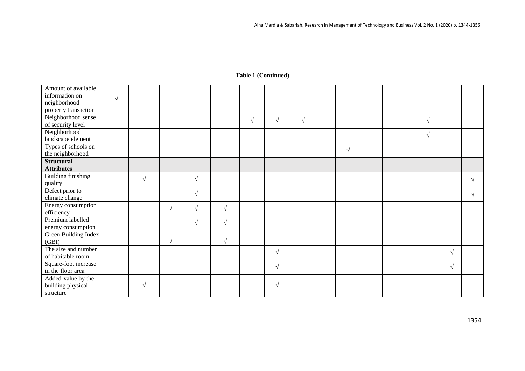| Amount of available         |            |            |            |            |            |            |            |            |            |  |            |            |  |
|-----------------------------|------------|------------|------------|------------|------------|------------|------------|------------|------------|--|------------|------------|--|
| information on              | $\sqrt{ }$ |            |            |            |            |            |            |            |            |  |            |            |  |
| neighborhood                |            |            |            |            |            |            |            |            |            |  |            |            |  |
| property transaction        |            |            |            |            |            |            |            |            |            |  |            |            |  |
| Neighborhood sense          |            |            |            |            |            | $\sqrt{ }$ | $\sqrt{ }$ | $\sqrt{ }$ |            |  | $\sqrt{ }$ |            |  |
| of security level           |            |            |            |            |            |            |            |            |            |  |            |            |  |
| Neighborhood                |            |            |            |            |            |            |            |            |            |  | $\sqrt{}$  |            |  |
| landscape element           |            |            |            |            |            |            |            |            |            |  |            |            |  |
| Types of schools on         |            |            |            |            |            |            |            |            | $\sqrt{ }$ |  |            |            |  |
| the neighborhood            |            |            |            |            |            |            |            |            |            |  |            |            |  |
| <b>Structural</b>           |            |            |            |            |            |            |            |            |            |  |            |            |  |
| <b>Attributes</b>           |            |            |            |            |            |            |            |            |            |  |            |            |  |
| <b>Building finishing</b>   |            | $\sqrt{ }$ |            | $\sqrt{ }$ |            |            |            |            |            |  |            |            |  |
| quality                     |            |            |            |            |            |            |            |            |            |  |            |            |  |
| Defect prior to             |            |            |            | $\sqrt{ }$ |            |            |            |            |            |  |            |            |  |
| climate change              |            |            |            |            |            |            |            |            |            |  |            |            |  |
| Energy consumption          |            |            | $\sqrt{ }$ | $\sqrt{ }$ | $\sqrt{ }$ |            |            |            |            |  |            |            |  |
| efficiency                  |            |            |            |            |            |            |            |            |            |  |            |            |  |
| Premium labelled            |            |            |            | $\sqrt{ }$ | $\sqrt{ }$ |            |            |            |            |  |            |            |  |
| energy consumption          |            |            |            |            |            |            |            |            |            |  |            |            |  |
| <b>Green Building Index</b> |            |            |            |            |            |            |            |            |            |  |            |            |  |
| (GBI)                       |            |            | $\sqrt{ }$ |            | $\sqrt{ }$ |            |            |            |            |  |            |            |  |
| The size and number         |            |            |            |            |            |            | $\sqrt{ }$ |            |            |  |            | $\sqrt{ }$ |  |
| of habitable room           |            |            |            |            |            |            |            |            |            |  |            |            |  |
| Square-foot increase        |            |            |            |            |            |            | $\sqrt{ }$ |            |            |  |            | $\sqrt{ }$ |  |
| in the floor area           |            |            |            |            |            |            |            |            |            |  |            |            |  |
| Added-value by the          |            |            |            |            |            |            |            |            |            |  |            |            |  |
| building physical           |            |            |            |            |            |            | V          |            |            |  |            |            |  |
| structure                   |            |            |            |            |            |            |            |            |            |  |            |            |  |

# **Table 1 (Continued)**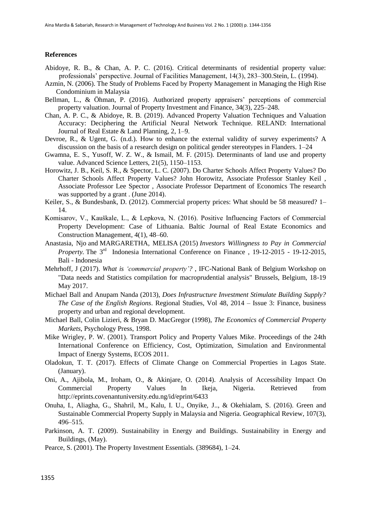#### **References**

- Abidoye, R. B., & Chan, A. P. C. (2016). Critical determinants of residential property value: professionals' perspective. Journal of Facilities Management, 14(3), 283–300.Stein, L. (1994).
- Azmin, N. (2006). The Study of Problems Faced by Property Management in Managing the High Rise Condominium in Malaysia
- Bellman, L., & Öhman, P. (2016). Authorized property appraisers' perceptions of commercial property valuation. Journal of Property Investment and Finance, 34(3), 225–248.
- Chan, A. P. C., & Abidoye, R. B. (2019). Advanced Property Valuation Techniques and Valuation Accuracy: Deciphering the Artificial Neural Network Technique. RELAND: International Journal of Real Estate & Land Planning, 2, 1–9.
- Devroe, R., & Ugent, G. (n.d.). How to enhance the external validity of survey experiments? A discussion on the basis of a research design on political gender stereotypes in Flanders. 1–24
- Gwamna, E. S., Yusoff, W. Z. W., & Ismail, M. F. (2015). Determinants of land use and property value. Advanced Science Letters, 21(5), 1150–1153.
- Horowitz, J. B., Keil, S. R., & Spector, L. C. (2007). Do Charter Schools Affect Property Values? Do Charter Schools Affect Property Values? John Horowitz, Associate Professor Stanley Keil , Associate Professor Lee Spector , Associate Professor Department of Economics The research was supported by a grant . (June 2014).
- Keiler, S., & Bundesbank, D. (2012). Commercial property prices: What should be 58 measured? 1– 14.
- Komisarov, V., Kauškale, L., & Lepkova, N. (2016). Positive Influencing Factors of Commercial Property Development: Case of Lithuania. Baltic Journal of Real Estate Economics and Construction Management, 4(1), 48–60.
- Anastasia, Njo and MARGARETHA, MELISA (2015) *Investors Willingness to Pay in Commercial Property*. The 3<sup>rd</sup> Indonesia International Conference on Finance , 19-12-2015 - 19-12-2015, Bali - Indonesia
- Mehrhoff, J (2017). *What is 'commercial property'?* , IFC-National Bank of Belgium Workshop on "Data needs and Statistics compilation for macroprudential analysis" Brussels, Belgium, 18-19 May 2017.
- Michael Ball and Anupam Nanda (2013), *Does Infrastructure Investment Stimulate Building Supply? The Case of the English Regions*. Regional Studies, Vol 48, 2014 – Issue 3: Finance, business property and urban and regional development.
- Michael Ball, Colin Lizieri, & Bryan D. MacGregor (1998), *The Economics of Commercial Property Markets*, Psychology Press, 1998.
- Mike Wrigley, P. W. (2001). Transport Policy and Property Values Mike. Proceedings of the 24th International Conference on Efficiency, Cost, Optimization, Simulation and Environmental Impact of Energy Systems, ECOS 2011.
- Oladokun, T. T. (2017). Effects of Climate Change on Commercial Properties in Lagos State. (January).
- Oni, A., Ajibola, M., Iroham, O., & Akinjare, O. (2014). Analysis of Accessibility Impact On Commercial Property Values In Ikeja, Nigeria. Retrieved from <http://eprints.covenantuniversity.edu.ng/id/eprint/6433>
- Onuha, I., Aliagha, G., Shahril, M., Kalu, I. U., Onyike, J.., & Okehialam, S. (2016). Green and Sustainable Commercial Property Supply in Malaysia and Nigeria. Geographical Review, 107(3), 496–515.
- Parkinson, A. T. (2009). Sustainability in Energy and Buildings. Sustainability in Energy and Buildings, (May).
- Pearce, S. (2001). The Property Investment Essentials. (389684), 1–24.